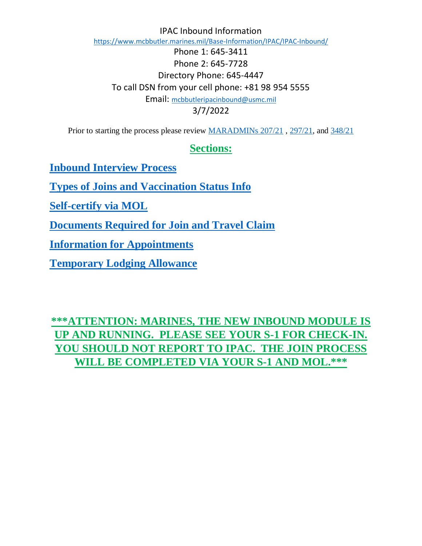IPAC Inbound Information https://www.mcbbutler.marines.mil/Base-Information/IPAC/IPAC-Inbound/ Phone 1: 645-3411 Phone 2: 645-7728 Directory Phone: 645-4447 To call DSN from your cell phone: +81 98 954 5555 Email: mcbbutleripacinbound@usmc.mil 3/7/2022

Prior to starting the process please review MARADMINs 207/21, 297/21, and 348/21

# **Sections:**

**Inbound Interview Process**

**Types of Joins and Vaccination Status Info**

**Self-certify via MOL**

**Documents Required for Join and Travel Claim**

**Information for Appointments**

**Temporary Lodging Allowance**

**\*\*\*ATTENTION: MARINES, THE NEW INBOUND MODULE IS UP AND RUNNING. PLEASE SEE YOUR S-1 FOR CHECK-IN. YOU SHOULD NOT REPORT TO IPAC. THE JOIN PROCESS WILL BE COMPLETED VIA YOUR S-1 AND MOL.\*\*\***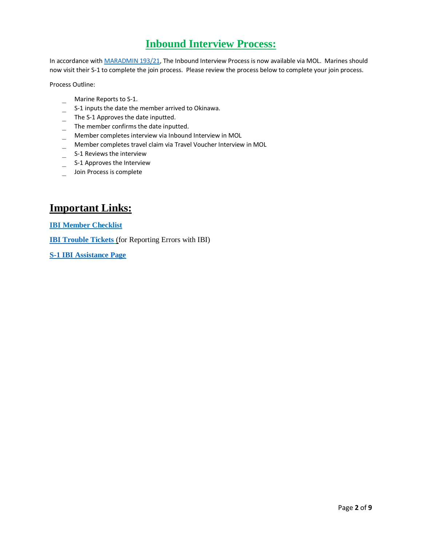# **Inbound Interview Process:**

In accordance with MARADMIN 193/21, The Inbound Interview Process is now available via MOL. Marines should now visit their S-1 to complete the join process. Please review the process below to complete your join process.

Process Outline:

- \_ Marine Reports to S-1.
- \_ S-1 inputs the date the member arrived to Okinawa.
- \_ The S-1 Approves the date inputted.
- \_ The member confirms the date inputted.
- \_ Member completes interview via Inbound Interview in MOL
- \_ Member completes travel claim via Travel Voucher Interview in MOL
- \_ S-1 Reviews the interview
- \_ S-1 Approves the Interview
- \_ Join Process is complete

# **Important Links:**

**IBI Member Checklist**

**IBI Trouble Tickets** (for Reporting Errors with IBI)

**S-1 IBI Assistance Page**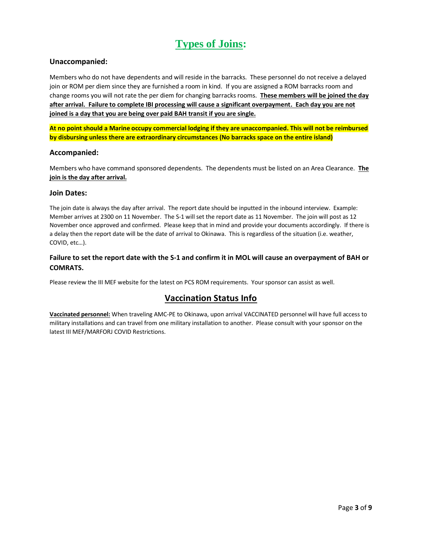# **Types of Joins:**

## **Unaccompanied:**

Members who do not have dependents and will reside in the barracks. These personnel do not receive a delayed join or ROM per diem since they are furnished a room in kind. If you are assigned a ROM barracks room and change rooms you will not rate the per diem for changing barracks rooms. **These members will be joined the day after arrival. Failure to complete IBI processing will cause a significant overpayment. Each day you are not joined is a day that you are being over paid BAH transit if you are single.**

**At no point should a Marine occupy commercial lodging if they are unaccompanied. This will not be reimbursed by disbursing unless there are extraordinary circumstances (No barracks space on the entire island)**

#### **Accompanied:**

Members who have command sponsored dependents. The dependents must be listed on an Area Clearance. **The join is the day after arrival.**

#### **Join Dates:**

The join date is always the day after arrival. The report date should be inputted in the inbound interview. Example: Member arrives at 2300 on 11 November. The S-1 will set the report date as 11 November. The join will post as 12 November once approved and confirmed. Please keep that in mind and provide your documents accordingly. If there is a delay then the report date will be the date of arrival to Okinawa. This is regardless of the situation (i.e. weather, COVID, etc…).

## **Failure to set the report date with the S-1 and confirm it in MOL will cause an overpayment of BAH or COMRATS.**

Please review the III MEF website for the latest on PCS ROM requirements. Your sponsor can assist as well.

# **Vaccination Status Info**

**Vaccinated personnel:** When traveling AMC-PE to Okinawa, upon arrival VACCINATED personnel will have full access to military installations and can travel from one military installation to another. Please consult with your sponsor on the latest III MEF/MARFORJ COVID Restrictions.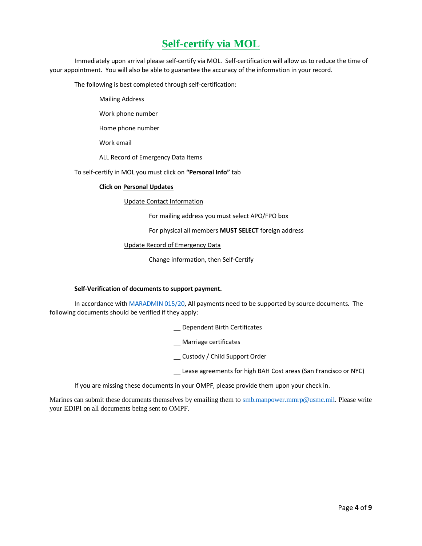# **Self-certify via MOL**

Immediately upon arrival please self-certify via MOL.Self-certification will allow us to reduce the time of your appointment. You will also be able to guarantee the accuracy of the information in your record.

The following is best completed through self-certification:

Mailing Address

Work phone number

Home phone number

Work email

ALL Record of Emergency Data Items

To self-certify in MOL you must click on **"Personal Info"** tab

#### **Click on Personal Updates**

Update Contact Information

For mailing address you must select APO/FPO box

For physical all members **MUST SELECT** foreign address

#### Update Record of Emergency Data

Change information, then Self-Certify

#### **Self-Verification of documents to support payment.**

In accordance with MARADMIN 015/20, All payments need to be supported by source documents. The following documents should be verified if they apply:

\_\_ Dependent Birth Certificates

- \_\_ Marriage certificates
- \_\_ Custody / Child Support Order
- \_\_ Lease agreements for high BAH Cost areas (San Francisco or NYC)

If you are missing these documents in your OMPF, please provide them upon your check in.

Marines can submit these documents themselves by emailing them to smb.manpower.mmrp@usmc.mil. Please write your EDIPI on all documents being sent to OMPF.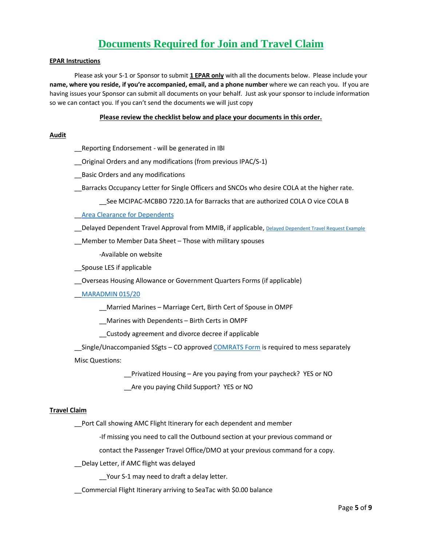# **Documents Required for Join and Travel Claim**

#### **EPAR Instructions**

Please ask your S-1 or Sponsor to submit **1 EPAR only** with all the documents below. Please include your **name, where you reside, if you're accompanied, email, and a phone number** where we can reach you. If you are having issues your Sponsor can submit all documents on your behalf. Just ask your sponsor to include information so we can contact you. If you can't send the documents we will just copy

#### **Please review the checklist below and place your documents in this order.**

#### **Audit**

\_\_Reporting Endorsement - will be generated in IBI

\_\_Original Orders and any modifications (from previous IPAC/S-1)

Basic Orders and any modifications

\_\_Barracks Occupancy Letter for Single Officers and SNCOs who desire COLA at the higher rate.

\_\_See MCIPAC-MCBBO 7220.1A for Barracks that are authorized COLA O vice COLA B

#### **Area Clearance for Dependents**

Delayed Dependent Travel Approval from MMIB, if applicable, Delayed Dependent Travel Request Example

\_\_Member to Member Data Sheet – Those with military spouses

-Available on website

\_\_Spouse LES if applicable

\_\_Overseas Housing Allowance or Government Quarters Forms (if applicable)

#### \_\_MARADMIN 015/20

\_\_Married Marines – Marriage Cert, Birth Cert of Spouse in OMPF

\_\_Marines with Dependents – Birth Certs in OMPF

\_\_Custody agreement and divorce decree if applicable

Single/Unaccompanied SSgts – CO approved COMRATS Form is required to mess separately Misc Questions:

Privatized Housing – Are you paying from your paycheck? YES or NO

\_\_Are you paying Child Support? YES or NO

#### **Travel Claim**

\_\_Port Call showing AMC Flight Itinerary for each dependent and member

-If missing you need to call the Outbound section at your previous command or

contact the Passenger Travel Office/DMO at your previous command for a copy.

\_\_Delay Letter, if AMC flight was delayed

Your S-1 may need to draft a delay letter.

\_\_Commercial Flight Itinerary arriving to SeaTac with \$0.00 balance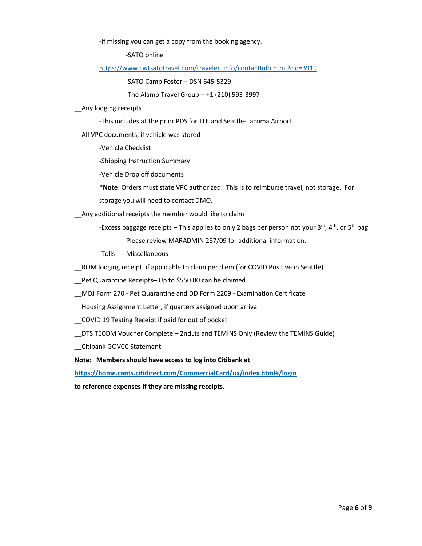-If missing you can get a copy from the booking agency.

-SATO online

https://www.cwtsatotravel.com/traveler\_info/contactInfo.html?cid=3919

-SATO Camp Foster – DSN 645-5329

-The Alamo Travel Group  $-+1$  (210) 593-3997

\_\_Any lodging receipts

-This includes at the prior PDS for TLE and Seattle-Tacoma Airport

\_\_All VPC documents, if vehicle was stored

-Vehicle Checklist

-Shipping Instruction Summary

-Vehicle Drop off documents

**\*Note**: Orders must state VPC authorized. This is to reimburse travel, not storage. For

storage you will need to contact DMO.

Any additional receipts the member would like to claim

-Excess baggage receipts – This applies to only 2 bags per person not your 3<sup>rd</sup>, 4<sup>th</sup>, or 5<sup>th</sup> bag

-Please review MARADMIN 287/09 for additional information.

-Tolls -Miscellaneous

\_\_ROM lodging receipt, if applicable to claim per diem (for COVID Positive in Seattle)

\_\_Pet Quarantine Receipts– Up to \$550.00 can be claimed

\_\_MDJ Form 270 - Pet Quarantine and DD Form 2209 - Examination Certificate

\_\_Housing Assignment Letter, if quarters assigned upon arrival

\_\_COVID 19 Testing Receipt if paid for out of pocket

\_\_DTS TECOM Voucher Complete – 2ndLts and TEMINS Only (Review the TEMINS Guide)

\_\_Citibank GOVCC Statement

**Note: Members should have access to log into Citibank at** 

**https://home.cards.citidirect.com/CommercialCard/ux/index.html#/login**

**to reference expenses if they are missing receipts.**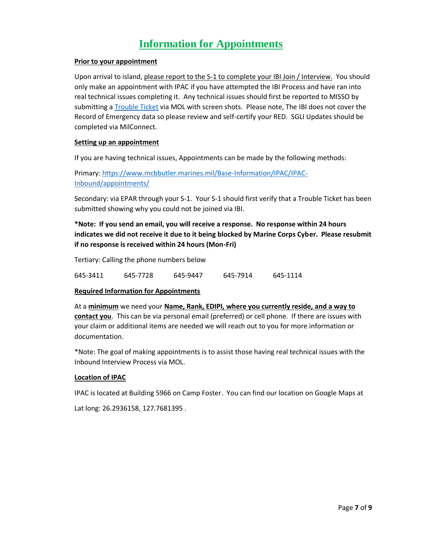# **Information for Appointments**

## **Prior to your appointment**

Upon arrival to island, please report to the S-1 to complete your IBI Join / Interview. You should only make an appointment with IPAC if you have attempted the IBI Process and have ran into real technical issues completing it. Any technical issues should first be reported to MISSO by submitting a Trouble Ticket via MOL with screen shots. Please note, The IBI does not cover the Record of Emergency data so please review and self-certify your RED. SGLI Updates should be completed via MilConnect.

### **Setting up an appointment**

If you are having technical issues, Appointments can be made by the following methods:

Primary: https://www.mcbbutler.marines.mil/Base-Information/IPAC/IPAC-Inbound/appointments/

Secondary: via EPAR through your S-1. Your S-1 should first verify that a Trouble Ticket has been submitted showing why you could not be joined via IBI.

## **\*Note: If you send an email, you will receive a response. No response within 24 hours indicates we did not receive it due to it being blocked by Marine Corps Cyber. Please resubmit if no response is received within 24 hours (Mon-Fri)**

Tertiary: Calling the phone numbers below

| 645-3411 | 645-7728 | 645-9447 | 645-7914 | 645-1114 |
|----------|----------|----------|----------|----------|
|          |          |          |          |          |

#### **Required Information for Appointments**

At a **minimum** we need your **Name, Rank, EDIPI, where you currently reside, and a way to contact you**. This can be via personal email (preferred) or cell phone. If there are issues with your claim or additional items are needed we will reach out to you for more information or documentation.

\*Note: The goal of making appointments is to assist those having real technical issues with the Inbound Interview Process via MOL.

## **Location of IPAC**

IPAC is located at Building 5966 on Camp Foster. You can find our location on Google Maps at

Lat long: 26.2936158, 127.7681395 .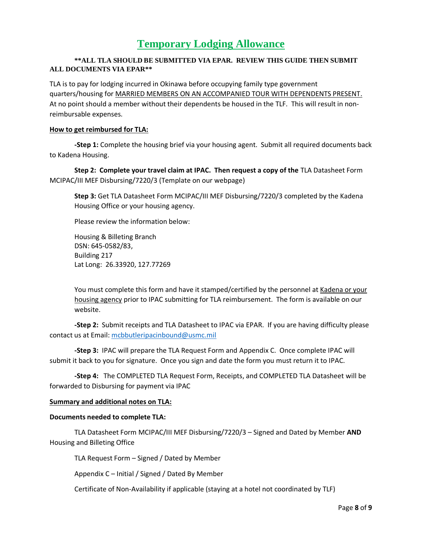# **Temporary Lodging Allowance**

## **\*\*ALL TLA SHOULD BE SUBMITTED VIA EPAR. REVIEW THIS GUIDE THEN SUBMIT ALL DOCUMENTS VIA EPAR\*\***

TLA is to pay for lodging incurred in Okinawa before occupying family type government quarters/housing for MARRIED MEMBERS ON AN ACCOMPANIED TOUR WITH DEPENDENTS PRESENT. At no point should a member without their dependents be housed in the TLF. This will result in nonreimbursable expenses.

### **How to get reimbursed for TLA:**

**-Step 1:** Complete the housing brief via your housing agent. Submit all required documents back to Kadena Housing.

**Step 2: Complete your travel claim at IPAC. Then request a copy of the** TLA Datasheet Form MCIPAC/III MEF Disbursing/7220/3 (Template on our webpage)

**Step 3:** Get TLA Datasheet Form MCIPAC/III MEF Disbursing/7220/3 completed by the Kadena Housing Office or your housing agency.

Please review the information below:

Housing & Billeting Branch DSN: 645-0582/83, Building 217 Lat Long: 26.33920, 127.77269

You must complete this form and have it stamped/certified by the personnel at Kadena or your housing agency prior to IPAC submitting for TLA reimbursement. The form is available on our website.

**-Step 2:** Submit receipts and TLA Datasheet to IPAC via EPAR. If you are having difficulty please contact us at Email: mcbbutleripacinbound@usmc.mil

**-Step 3:** IPAC will prepare the TLA Request Form and Appendix C. Once complete IPAC will submit it back to you for signature. Once you sign and date the form you must return it to IPAC.

**-Step 4:** The COMPLETED TLA Request Form, Receipts, and COMPLETED TLA Datasheet will be forwarded to Disbursing for payment via IPAC

#### **Summary and additional notes on TLA:**

#### **Documents needed to complete TLA:**

TLA Datasheet Form MCIPAC/III MEF Disbursing/7220/3 – Signed and Dated by Member **AND** Housing and Billeting Office

TLA Request Form – Signed / Dated by Member

Appendix C – Initial / Signed / Dated By Member

Certificate of Non-Availability if applicable (staying at a hotel not coordinated by TLF)